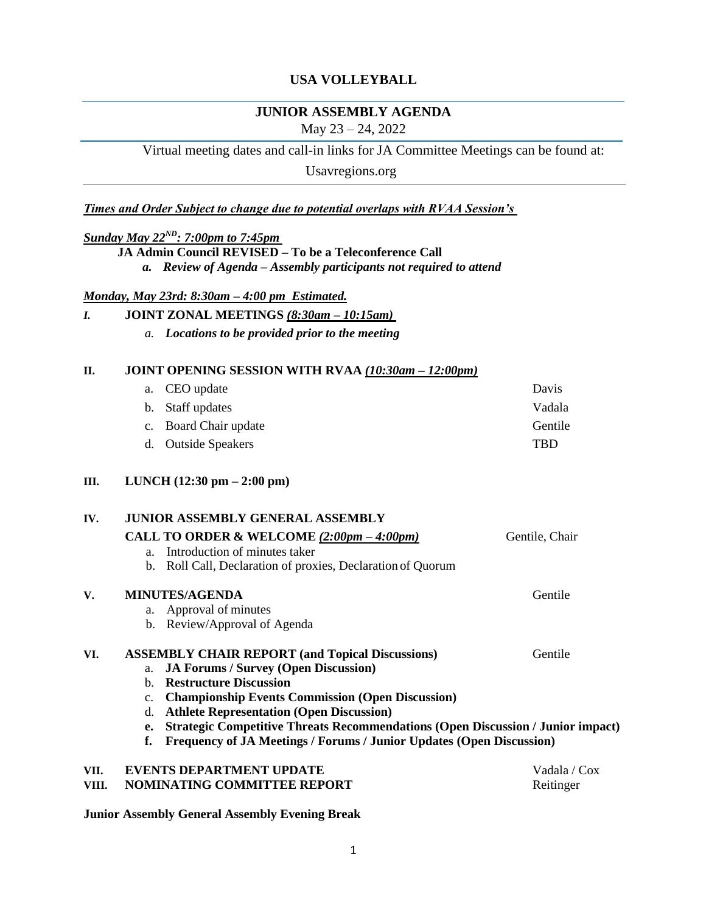## **USA VOLLEYBALL**

# **JUNIOR ASSEMBLY AGENDA**

May 23 – 24, 2022

Virtual meeting dates and call-in links for JA Committee Meetings can be found at:

Usavregions.org

*Times and Order Subject to change due to potential overlaps with RVAA Session's* 

## *Sunday May 22ND: 7:00pm to 7:45pm*

**JA Admin Council REVISED – To be a Teleconference Call** 

*a. Review of Agenda – Assembly participants not required to attend* 

#### *Monday, May 23rd: 8:30am – 4:00 pm Estimated.*

| I. | JOINT ZONAL MEETINGS (8:30am - 10:15am) |  |
|----|-----------------------------------------|--|
|    |                                         |  |

*a. Locations to be provided prior to the meeting* 

## **II. JOINT OPENING SESSION WITH RVAA** *(10:30am – 12:00pm)*

|  | a. CEO update         | Davis          |
|--|-----------------------|----------------|
|  | b. Staff updates      | Vadala         |
|  | c. Board Chair update | <b>Gentile</b> |
|  | d. Outside Speakers   | TRD            |
|  |                       |                |

## **III. LUNCH (12:30 pm – 2:00 pm)**

#### **IV. JUNIOR ASSEMBLY GENERAL ASSEMBLY**

|       | CALL TO ORDER & WELCOME $(2:00pm - 4:00pm)$                                                  | Gentile, Chair |
|-------|----------------------------------------------------------------------------------------------|----------------|
|       | Introduction of minutes taker<br>a.                                                          |                |
|       | b. Roll Call, Declaration of proxies, Declaration of Quorum                                  |                |
| V.    | <b>MINUTES/AGENDA</b>                                                                        | Gentile        |
|       | a. Approval of minutes                                                                       |                |
|       | b. Review/Approval of Agenda                                                                 |                |
| VI.   | <b>ASSEMBLY CHAIR REPORT (and Topical Discussions)</b>                                       | Gentile        |
|       | <b>JA Forums / Survey (Open Discussion)</b><br>a.                                            |                |
|       | <b>Restructure Discussion</b><br>$h_{\cdot}$                                                 |                |
|       | <b>Championship Events Commission (Open Discussion)</b><br>$\mathbf{c}$ .                    |                |
|       | <b>Athlete Representation (Open Discussion)</b><br>d.                                        |                |
|       | <b>Strategic Competitive Threats Recommendations (Open Discussion / Junior impact)</b><br>e. |                |
|       | Frequency of JA Meetings / Forums / Junior Updates (Open Discussion)<br>f.                   |                |
| VII.  | <b>EVENTS DEPARTMENT UPDATE</b>                                                              | Vadala / Cox   |
| VIII. | <b>NOMINATING COMMITTEE REPORT</b>                                                           | Reitinger      |
|       |                                                                                              |                |

**Junior Assembly General Assembly Evening Break**